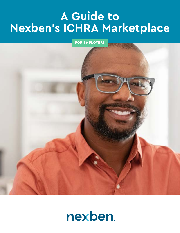## **A Guide to Nexben's ICHRA Marketplace**

FOR EMPLOYERS



# nexben.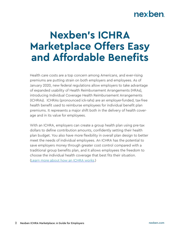## **Nexben's ICHRA Marketplace Offers Easy and Affordable Benefits**

Health care costs are a top concern among Americans, and ever-rising premiums are putting strain on both employers and employees. As of January 2020, new federal regulations allow employers to take advantage of expanded usability of Health Reimbursement Arrangements (HRAs), introducing Individual Coverage Health Reimbursement Arrangements (ICHRAs). ICHRAs (pronounced ick-rahs) are an employer-funded, tax-free health benefit used to reimburse employees for individual benefit plan premiums. It represents a major shift both in the delivery of health coverage and in its value for employees.

With an ICHRA, employers can create a group health plan using pre-tax dollars to define contribution amounts, confidently setting their health plan budget. You also have more flexibility in overall plan design to better meet the needs of individual employees. An ICHRA has the potential to save employers money through greater cost control compared with a traditional group benefits plan, and it allows employees the freedom to choose the individual health coverage that best fits their situation. [\(Learn more about how an ICHRA works](https://www.nexben.com/modern-approach-to-health-benefits/).)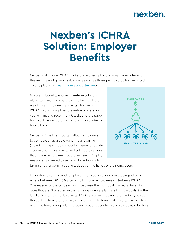## **Nexben's ICHRA Solution: Employer Benefits**

Nexben's all-in-one ICHRA marketplace offers all of the advantages inherent in this new type of group health plan as well as those provided by Nexben's technology platform. [\(Learn more about Nexben](http://www.nexben.com/).)

Managing benefits is complex—from selecting plans, to managing costs, to enrollment, all the way to making carrier payments. Nexben's ICHRA solution simplifies the entire process for you, eliminating recurring HR tasks and the paper trail usually required to accomplish these administrative tasks.

Nexben's "intelligent portal" allows employers to compare all available benefit plans online (including major medical, dental, vision, disability income and life insurance) and select the options that fit your employee group plan needs. Employees are empowered to self-enroll electronically,



taking another administrative task out of the hands of their employers.

In addition to time saved, employers can see an overall cost savings of anywhere between 20-60% after enrolling your employees in Nexben's ICHRA. One reason for the cost savings is because the individual market is driven by rates that aren't affected in the same way group plans are by individuals' (or their families') potential health events. ICHRAs also provide you the flexibility to set the contribution rates and avoid the annual rate hikes that are often associated with traditional group plans, providing budget control year after year. Adopting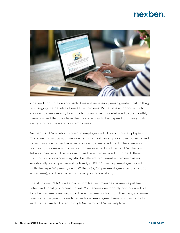

a defined contribution approach does not necessarily mean greater cost shifting or changing the benefits offered to employees. Rather, it is an opportunity to show employees exactly how much money is being contributed to the monthly premiums and that they have the choice in how to best spend it, driving costs savings for both you and your employees.

Nexben's ICHRA solution is open to employers with two or more employees. There are no participation requirements to meet; an employer cannot be denied by an insurance carrier because of low employee enrollment. There are also no minimum or maximum contribution requirements with an ICHRA: the contribution can be as little or as much as the employer wants it to be. Different contribution allowances may also be offered to different employee classes. Additionally, when properly structured, an ICHRA can help employers avoid both the large "A" penalty (in 2022 that's \$2,750 per employee after the first 30 employees), and the smaller "B' penalty for "affordability".

The all-in-one ICHRA marketplace from Nexben manages payments just like other traditional group health plans. You receive one monthly consolidated bill for all employee plans, withhold the employee portion from their pay, and make one pre-tax payment to each carrier for all employees. Premiums payments to each carrier are facilitated through Nexben's ICHRA marketplace.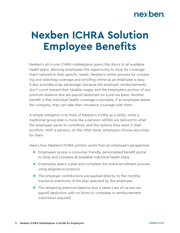## **Nexben ICHRA Solution Employee Benefits**

Nexben's all-in-one ICHRA marketplace opens the doors to all available health plans, allowing employees the opportunity to shop for coverage that's tailored to their specific needs. Nexben's online process for comparing and selecting coverage and enrolling online as an employee is easy. It also provides a tax advantage, because the employer reimbursements don't count toward their taxable wages and the employee's portion of any premium balance due are payroll deducted on a pre-tax basis. Another benefit is that individual health coverage is portable, if an employee leaves the company, they can take their insurance coverage with them.

A simple metaphor is to think of Nexben's ICHRA as a 401(k), while a traditional group plan is more like a pension. 401(k)s are tailored to what the employee wants to contribute, and the options they want in their portfolio. With a pension, on the other hand, employers choose securities for them.

Here's how Nexben's ICHRA solution works from an employee's perspective:

- Employees access a consumer friendly, personalized benefit portal to shop and compare all available individual health plans
- Employees select a plan and complete the online enrollment process using eSignature protocol
- The employer contributions are applied directly to the monthly insurance premiums of the plan selected by the employee
- The remaining premium balance due is taken care of via pre-tax payroll deduction with no forms to complete or reimbursement submission required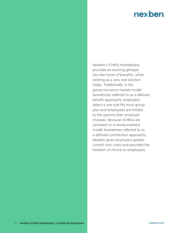Nexben's ICHRA marketplace provides an exciting glimpse into the future of benefits, while existing as a very real solution today. Traditionally, in the group insurance market model (sometimes referred to as a defined benefit approach), employers select a one-size-fits-most group plan and employees are limited to the options their employer chooses. Because ICHRAs are centered on a reimbursement model (sometimes referred to as a defined contribution approach), Nexben gives employers greater control over costs and provides the freedom of choice to employees.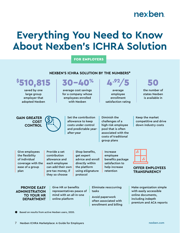## **Everything You Need to Know About Nexben's ICHRA Solution**

#### FOR EMPLOYERS

#### **NEXBEN'S ICHRA SOLUTION BY THE NUMBERS\***

| <b>\$510,815</b><br>saved by one<br>large group<br>employer that<br>adopted Nexben                                                                                                             |                                                                                                                             | %<br>$30 - 40$<br>average cost savings<br>for a company whose<br>employees enrolled<br>with Nexben      |                                                                                                                      |  | 4.92/5<br>average<br>employee<br>enrollment<br>satisfaction rating                                                                        |  | 50<br>the number of<br>states Nexben<br>is available in                                      |
|------------------------------------------------------------------------------------------------------------------------------------------------------------------------------------------------|-----------------------------------------------------------------------------------------------------------------------------|---------------------------------------------------------------------------------------------------------|----------------------------------------------------------------------------------------------------------------------|--|-------------------------------------------------------------------------------------------------------------------------------------------|--|----------------------------------------------------------------------------------------------|
| <b>GAIN GREATER</b><br><b>COST</b><br><b>CONTROL</b>                                                                                                                                           |                                                                                                                             | Set the contribution<br>allowance to keep<br>costs under control<br>and predictable year-<br>after-year |                                                                                                                      |  | Diminish the<br>challenges of a<br>high-risk employee<br>pool that is often<br>associated with the<br>costs of traditional<br>group plans |  | Keep the market<br>competitive and drive<br>down industry costs                              |
| Give employees<br>the flexibility<br>of individual<br>coverage with the<br>ease of a group<br>plan                                                                                             | Provide a set<br>contribution<br>allowance and<br>each employee<br>can add their own<br>pre-tax money, if<br>they so choose |                                                                                                         | Shop benefits,<br>get expert<br>advice and enroll<br>directly within<br>the platform<br>using eSignature<br>protocol |  | Increase<br>employee<br>benefits package<br>satisfaction to<br>help increase<br>retention                                                 |  | <b>OFFER EMPLOYEES</b><br><b>TRANSPARENCY</b>                                                |
| <b>Give HR or benefits</b><br><b>PROVIDE EASY</b><br>representatives peace of<br><b>ADMINISTRATION</b><br>mind with an all-in-one<br><b>TO YOUR HR</b><br>online platform<br><b>DEPARTMENT</b> |                                                                                                                             |                                                                                                         | tasks                                                                                                                |  | Eliminate reoccurring<br>Avoid paperwork<br>often associated with                                                                         |  | Make organization simple<br>with easily accessible<br>online documents,<br>including indepth |

often associated with enrollment and billing

**\*** Based on results from active Nexben users, 2020.

premium and ACA reports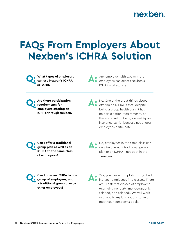## **FAQs From Employers About Nexben's ICHRA Solution**



A: Any employer with two or more<br>
employees can access Nexben's ICHRA marketplace.

**Q: Are there participation requirements for employers offering an ICHRA through Nexben?** A: No. One of the great things about<br>
offering an ICHRA is that, despite being a group health plan, it has no participation requirements. So, there's no risk of being denied by an insurance carrier because not enough employees participate.

**Q: Can I offer a traditional group plan as well as an ICHRA to the same class of employees?**

**A:** No, employees in the same class can only be offered a traditional group plan or an ICHRA—not both in the same year.

**Q: Can I offer an ICHRA to one group of employees, and a traditional group plan to other employees?**

**A:** Yes, you can accomplish this by divid-<br>
ing your employees into classes. There are 11 different classes of employees (e.g. full-time, part-time, geographic, salaried, non-salaried). We will work with you to explain options to help meet your company's goals.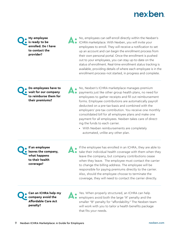**Q: My employee is ready to be enrolled. Do I have to contact the provider?**

**A:** No, employees can self-enroll directly within the Nexben's ICHRA marketplace. With Nexben, you will invite your employees to enroll. They will receive a notification to set up an account and can begin the enrollment process from their own personal portal. Once the enrollment is pushed out to your employees, you can stay up-to-date on the status of enrollment. Real-time enrollment status tracking is available, providing details of where each employee is in the enrollment process–not started, in progress and complete.

**Q: Do employees have to wait for our company to reimburse them for their premiums?**

**A:** No, Nexben's ICHRA marketplace manages premium payments just like other group health plans, no need for employees to gather receipts and fill out reimbursement forms. Employee contributions are automatically payroll deducted on a pre-tax-basis and combined with the employers' pre-tax contribution. You receive one monthly consolidated bill for all employee plans and make one payment for all employees. Nexben takes care of directing the funds to each carrier.

• With Nexben reimbursements are completely automated, unlike any other plan.

**Q: If an employee leaves the company, what happens to their health coverage?**

**A:** If the employee has enrolled in an ICHRA, they are able to take their individual health coverage with them when they leave the company, but company contributions cease when they leave. The employee must contact the carrier to change the billing address. The employee will be responsible for paying premiums directly to the carrier. Also, should the employee choose to terminate the coverage, they will need to contact the carrier directly.

**Q: Can an ICHRA help my company avoid the Affordable Care Act penalty?**

**A:** Yes. When properly structured, an ICHRA can help employers avoid both the large "A" penalty and the smaller "B" penalty for "affordability." The Nexben team will work with you to tailor a health benefits package that fits your needs.